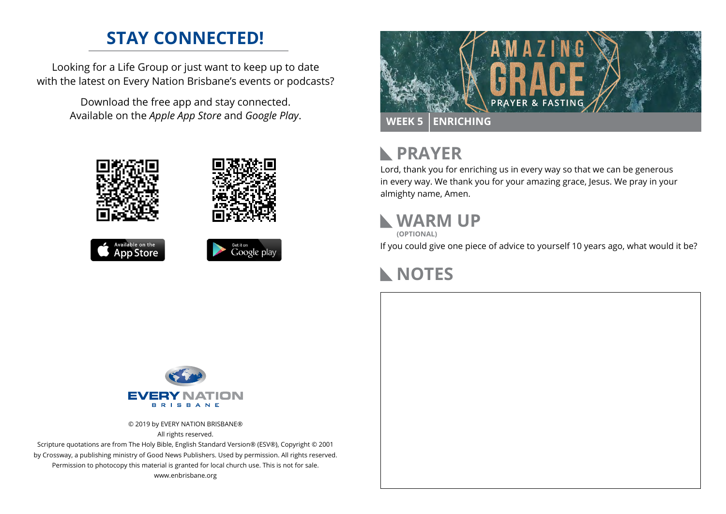## **STAY CONNECTED!**

Looking for a Life Group or just want to keep up to date with the latest on Every Nation Brisbane's events or podcasts?

> Download the free app and stay connected. Available on the *Apple App Store* and *Google Play*.





```
Available on the<br>App Store
```




#### **PRAYER**  $\mathbb{R}$

Lord, thank you for enriching us in every way so that we can be generous in every way. We thank you for your amazing grace, Jesus. We pray in your almighty name, Amen.

## **WARM UP**

**(OPTIONAL)**

If you could give one piece of advice to yourself 10 years ago, what would it be?

# **NOTES**



© 2019 by EVERY NATION BRISBANE® All rights reserved.

Scripture quotations are from The Holy Bible, English Standard Version® (ESV®), Copyright © 2001 by Crossway, a publishing ministry of Good News Publishers. Used by permission. All rights reserved. Permission to photocopy this material is granted for local church use. This is not for sale. www.enbrisbane.org